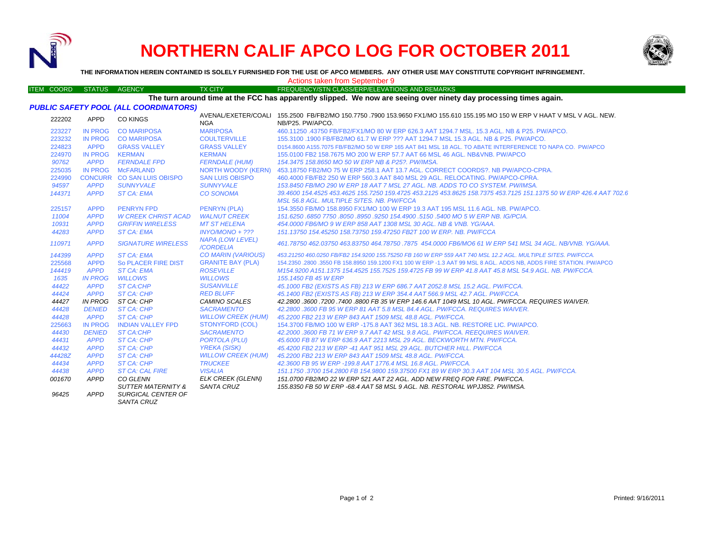

## **NORTHERN CALIF APCO LOG FOR OCTOBER 2011**



**THE INFORMATION HEREIN CONTAINED IS SOLELY FURNISHED FOR THE USE OF APCO MEMBERS. ANY OTHER USE MAY CONSTITUTE COPYRIGHT INFRINGEMENT.**

ITEM COORD STATUS AGENCY TX CITY FREQUENCY/STN CLASS/ERP/ELEVATIONS AND REMARKS

Actions taken from September 9

## **The turn around time at the FCC has apparently slipped. We now are seeing over ninety day processing times again.**

## *PUBLIC SAFETY POOL (ALL COORDINATORS)*

| 222202 | APPD           | <b>CO KINGS</b>                         | <b>NGA</b>                    | AVENAL/EXETER/COALI 155.2500 FB/FB2/MO 150.7750 .7900 153.9650 FX1/MO 155.610 155.195 MO 150 W ERP V HAAT V MSL V AGL. NEW.<br>NB/P25. PW/APCO. |
|--------|----------------|-----------------------------------------|-------------------------------|-------------------------------------------------------------------------------------------------------------------------------------------------|
| 223227 | <b>IN PROG</b> | <b>CO MARIPOSA</b>                      | <b>MARIPOSA</b>               | 460.11250 .43750 FB/FB2/FX1/MO 80 W ERP 626.3 AAT 1294.7 MSL, 15.3 AGL, NB & P25, PW/APCO,                                                      |
| 223232 | <b>IN PROG</b> | <b>CO MARIPOSA</b>                      | <b>COULTERVILLE</b>           | 155,3100 .1900 FB/FB2/MO 61.7 W ERP ??? AAT 1294.7 MSL 15.3 AGL. NB & P25. PW/APCO.                                                             |
| 224823 | <b>APPD</b>    | <b>GRASS VALLEY</b>                     | <b>GRASS VALLEY</b>           | D154,8600 A155,7075 FB/FB2/MO 50 W ERP 165 AAT 841 MSL 18 AGL. TO ABATE INTERFERENCE TO NAPA CO. PW/APCO                                        |
| 224970 | IN PROG        | <b>KERMAN</b>                           | <b>KERMAN</b>                 | 155,0100 FB2 158,7675 MO 200 W ERP 57.7 AAT 66 MSL 46 AGL, NB&VNB, PW/APCO                                                                      |
| 90762  | <b>APPD</b>    | <b>FERNDALE FPD</b>                     | <b>FERNDALE (HUM)</b>         | 154.3475 158.8650 MO 50 W ERP NB & P25?. PW/IMSA.                                                                                               |
| 225035 |                | IN PROG McFARLAND                       | NORTH WOODY (KERN)            | 453.18750 FB2/MO 75 W ERP 258.1 AAT 13.7 AGL, CORRECT COORDS?, NB PW/APCO-CPRA.                                                                 |
| 224990 |                | CONCURR CO SAN LUIS OBISPO              | <b>SAN LUIS OBISPO</b>        | 460,4000 FB/FB2 250 W ERP 560.3 AAT 840 MSL 29 AGL, RELOCATING, PW/APCO-CPRA.                                                                   |
| 94597  | <b>APPD</b>    | <b>SUNNYVALE</b>                        | <b>SUNNYVALE</b>              | 153.8450 FB/MO 290 W ERP 18 AAT 7 MSL 27 AGL. NB. ADDS TO CO SYSTEM. PW/IMSA.                                                                   |
| 144371 | <b>APPD</b>    | ST CA: EMA                              | <b>CO SONOMA</b>              | 39,4600 154,4525 453,4625 155,7250 159,4725 453,2125 453,8625 158,7375 453,7125 151,1375 50 W ERP 426,4 AAT 702.6                               |
|        |                |                                         |                               | MSL 56.8 AGL, MULTIPLE SITES, NB, PW/FCCA                                                                                                       |
| 225157 | <b>APPD</b>    | <b>PENRYN FPD</b>                       | <b>PENRYN (PLA)</b>           | 154.3550 FB/MO 158.8950 FX1/MO 100 W ERP 19.3 AAT 195 MSL 11.6 AGL, NB, PW/APCO,                                                                |
| 11004  | <b>APPD</b>    | <b>W CREEK CHRIST ACAD</b>              | <b>WALNUT CREEK</b>           | 151.6250 .6850 7750 .8050 .8950 .9250 154.4900 .5150 .5400 MO 5 W ERP NB. IG/PCIA.                                                              |
| 10931  | <b>APPD</b>    | <b>GRIFFIN WIRELESS</b>                 | <b>MT ST HELENA</b>           | 454,0000 FB6/MO 9 W ERP 858 AAT 1308 MSL 30 AGL, NB & VNB, YG/AAA,                                                                              |
| 44283  | <b>APPD</b>    | <b>ST CA: EMA</b>                       | $INYO/MONO + ???$             | 151.13750 154.45250 158.73750 159.47250 FB2T 100 W ERP. NB. PW/FCCA                                                                             |
| 110971 | <b>APPD</b>    | <b>SIGNATURE WIRELESS</b>               | NAPA (LOW LEVEL)<br>/CORDELIA | 461.78750 462.03750 463.83750 464.78750 .7875 454.0000 FB6/MO6 61 W ERP 541 MSL 34 AGL. NB/VNB. YG/AAA.                                         |
| 144399 | <b>APPD</b>    | <b>ST CA: EMA</b>                       | CO MARIN (VARIOUS)            | 453,21250 460,0250 FB/FB2 154,9200 155,75250 FB 160 W ERP 559 AAT 740 MSL 12.2 AGL, MULTIPLE SITES, PW/FCCA,                                    |
| 225568 | <b>APPD</b>    | So PLACER FIRE DIST                     | <b>GRANITE BAY (PLA)</b>      | 154.2350 .2800 .3550 FB 158.8950 159.1200 FX1 100 W ERP -1.3 AAT 99 MSL 8 AGL. ADDS NB, ADDS FIRE STATION. PW/APCO                              |
| 144419 | <b>APPD</b>    | <b>ST CA: EMA</b>                       | <b>ROSEVILLE</b>              | M154.9200 A151.1375 154.4525 155.7525 159.4725 FB 99 W ERP 41.8 AAT 45.8 MSL 54.9 AGL, NB, PW/FCCA,                                             |
| 1635   | <b>IN PROG</b> | <b>WILLOWS</b>                          | <b>WILLOWS</b>                | 155, 1450 FB 45 W ERP                                                                                                                           |
| 44422  | <b>APPD</b>    | <b>ST CA:CHP</b>                        | <b>SUSANVILLE</b>             | 45.1000 FB2 (EXISTS AS FB) 213 W ERP 686.7 AAT 2052.8 MSL 15.2 AGL. PW/FCCA.                                                                    |
| 44424  | <b>APPD</b>    | <b>ST CA: CHP</b>                       | <b>RED BLUFF</b>              | 45.1400 FB2 (EXISTS AS FB) 213 W ERP 354.4 AAT 566.9 MSL 42.7 AGL. PW/FCCA.                                                                     |
| 44427  | IN PROG        | ST CA: CHP                              | <b>CAMINO SCALES</b>          | 42.2800 .3600 .7200 .7400 .8800 FB 35 W ERP 146.6 AAT 1049 MSL 10 AGL. PW/FCCA. REQUIRES WAIVER.                                                |
| 44428  | <b>DENIED</b>  | ST CA: CHP                              | <b>SACRAMENTO</b>             | 42.2800 .3600 FB 95 W ERP 81 AAT 5.8 MSL 84.4 AGL. PW/FCCA. REQUIRES WAIVER.                                                                    |
| 44428  | <b>APPD</b>    | <b>ST CA: CHP</b>                       | <b>WILLOW CREEK (HUM)</b>     | 45.2200 FB2 213 W ERP 843 AAT 1509 MSL 48.8 AGL. PW/FCCA.                                                                                       |
| 225663 | <b>IN PROG</b> | <b>INDIAN VALLEY FPD</b>                | <b>STONYFORD (COL)</b>        | 154,3700 FB/MO 100 W ERP -175.8 AAT 362 MSL 18.3 AGL, NB, RESTORE LIC, PW/APCO,                                                                 |
| 44430  | <b>DENIED</b>  | <b>ST CA:CHP</b>                        | <b>SACRAMENTO</b>             | 42.2000 .3600 FB 71 W ERP 9.7 AAT 42 MSL 9.8 AGL. PW/FCCA. REEQUIRES WAIVER.                                                                    |
| 44431  | <b>APPD</b>    | ST CA: CHP                              | <b>PORTOLA (PLU)</b>          | 45,6000 FB 87 W ERP 636.9 AAT 2213 MSL 29 AGL. BECKWORTH MTN. PW/FCCA.                                                                          |
| 44432  | <b>APPD</b>    | ST CA: CHP                              | <b>YREKA (SISK)</b>           | 45.4200 FB2 213 W ERP -41 AAT 951 MSL 29 AGL. BUTCHER HILL. PW/FCCA                                                                             |
| 44428Z | <b>APPD</b>    | <b>ST CA: CHP</b>                       | <b>WILLOW CREEK (HUM)</b>     | 45.2200 FB2 213 W ERP 843 AAT 1509 MSL 48.8 AGL. PW/FCCA.                                                                                       |
| 44434  | <b>APPD</b>    | ST CA: CHP                              | <b>TRUCKEE</b>                | 42.3600 FB 95 W ERP -199.8 AAT 1776.4 MSL 16.8 AGL, PW/FCCA.                                                                                    |
| 44438  | <b>APPD</b>    | <b>ST CA: CAL FIRE</b>                  | <b>VISALIA</b>                | 151.1750 .3700 154.2800 FB 154.9800 159.37500 FX1 89 W ERP 30.3 AAT 104 MSL 30.5 AGL. PW/FCCA.                                                  |
| 001670 | APPD           | CO GLENN                                | ELK CREEK (GLENN)             | 151.0700 FB2/MO 22 W ERP 521 AAT 22 AGL. ADD NEW FREQ FOR FIRE. PW/FCCA.                                                                        |
|        |                | <b>SUTTER MATERNITY &amp;</b>           | <b>SANTA CRUZ</b>             | 155.8350 FB 50 W ERP -68.4 AAT 58 MSL 9 AGL. NB. RESTORAL WPJJ852. PW/IMSA.                                                                     |
| 96425  | <b>APPD</b>    | SURGICAL CENTER OF<br><b>SANTA CRUZ</b> |                               |                                                                                                                                                 |